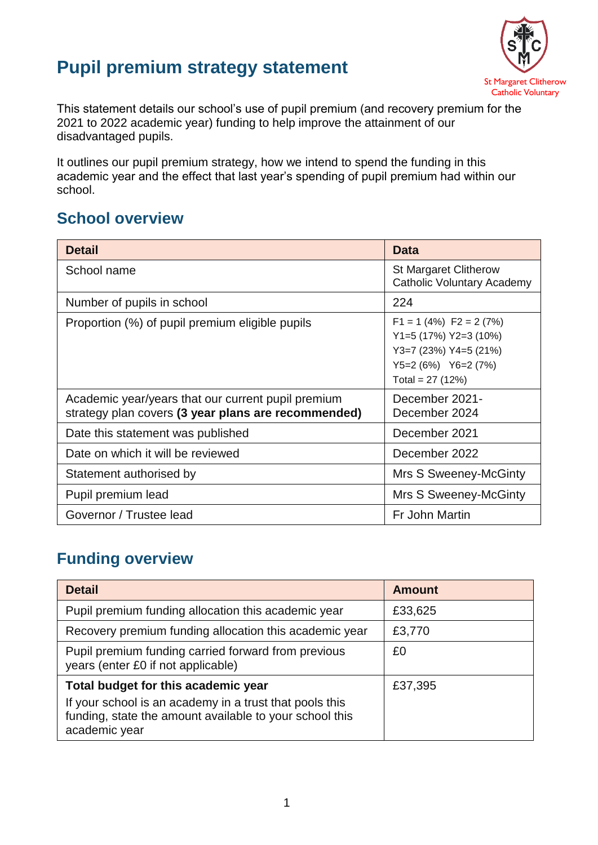# **Pupil premium strategy statement**



This statement details our school's use of pupil premium (and recovery premium for the 2021 to 2022 academic year) funding to help improve the attainment of our disadvantaged pupils.

It outlines our pupil premium strategy, how we intend to spend the funding in this academic year and the effect that last year's spending of pupil premium had within our school.

#### **School overview**

| <b>Detail</b>                                                                                             | <b>Data</b>                                                                                                                 |
|-----------------------------------------------------------------------------------------------------------|-----------------------------------------------------------------------------------------------------------------------------|
| School name                                                                                               | <b>St Margaret Clitherow</b><br>Catholic Voluntary Academy                                                                  |
| Number of pupils in school                                                                                | 224                                                                                                                         |
| Proportion (%) of pupil premium eligible pupils                                                           | $F1 = 1$ (4%) $F2 = 2$ (7%)<br>$Y1=5(17%) Y2=3(10%)$<br>$Y3=7(23%) Y4=5(21%)$<br>$Y5=2(6%)$ $Y6=2(7%)$<br>Total = $27(12%)$ |
| Academic year/years that our current pupil premium<br>strategy plan covers (3 year plans are recommended) | December 2021-<br>December 2024                                                                                             |
| Date this statement was published                                                                         | December 2021                                                                                                               |
| Date on which it will be reviewed                                                                         | December 2022                                                                                                               |
| Statement authorised by                                                                                   | Mrs S Sweeney-McGinty                                                                                                       |
| Pupil premium lead                                                                                        | Mrs S Sweeney-McGinty                                                                                                       |
| Governor / Trustee lead                                                                                   | Fr John Martin                                                                                                              |

## **Funding overview**

| <b>Detail</b>                                                                                                                       | <b>Amount</b> |
|-------------------------------------------------------------------------------------------------------------------------------------|---------------|
| Pupil premium funding allocation this academic year                                                                                 | £33,625       |
| Recovery premium funding allocation this academic year                                                                              | £3,770        |
| Pupil premium funding carried forward from previous<br>years (enter £0 if not applicable)                                           | £0            |
| Total budget for this academic year                                                                                                 | £37,395       |
| If your school is an academy in a trust that pools this<br>funding, state the amount available to your school this<br>academic year |               |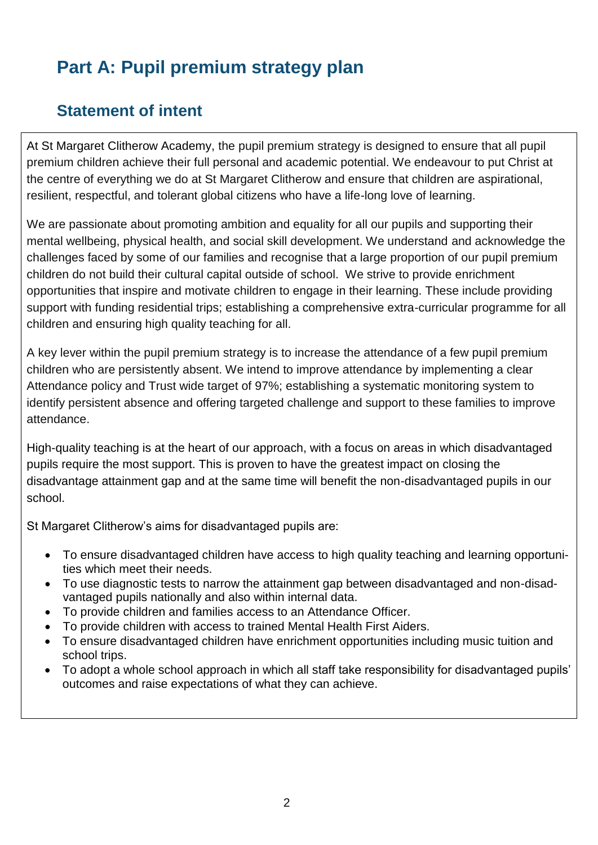# **Part A: Pupil premium strategy plan**

# **Statement of intent**

At St Margaret Clitherow Academy, the pupil premium strategy is designed to ensure that all pupil premium children achieve their full personal and academic potential. We endeavour to put Christ at the centre of everything we do at St Margaret Clitherow and ensure that children are aspirational, resilient, respectful, and tolerant global citizens who have a life-long love of learning.

We are passionate about promoting ambition and equality for all our pupils and supporting their mental wellbeing, physical health, and social skill development. We understand and acknowledge the challenges faced by some of our families and recognise that a large proportion of our pupil premium children do not build their cultural capital outside of school. We strive to provide enrichment opportunities that inspire and motivate children to engage in their learning. These include providing support with funding residential trips; establishing a comprehensive extra-curricular programme for all children and ensuring high quality teaching for all.

A key lever within the pupil premium strategy is to increase the attendance of a few pupil premium children who are persistently absent. We intend to improve attendance by implementing a clear Attendance policy and Trust wide target of 97%; establishing a systematic monitoring system to identify persistent absence and offering targeted challenge and support to these families to improve attendance.

High-quality teaching is at the heart of our approach, with a focus on areas in which disadvantaged pupils require the most support. This is proven to have the greatest impact on closing the disadvantage attainment gap and at the same time will benefit the non-disadvantaged pupils in our school.

St Margaret Clitherow's aims for disadvantaged pupils are:

- To ensure disadvantaged children have access to high quality teaching and learning opportunities which meet their needs.
- To use diagnostic tests to narrow the attainment gap between disadvantaged and non-disadvantaged pupils nationally and also within internal data.
- To provide children and families access to an Attendance Officer.
- To provide children with access to trained Mental Health First Aiders.
- To ensure disadvantaged children have enrichment opportunities including music tuition and school trips.
- To adopt a whole school approach in which all staff take responsibility for disadvantaged pupils' outcomes and raise expectations of what they can achieve.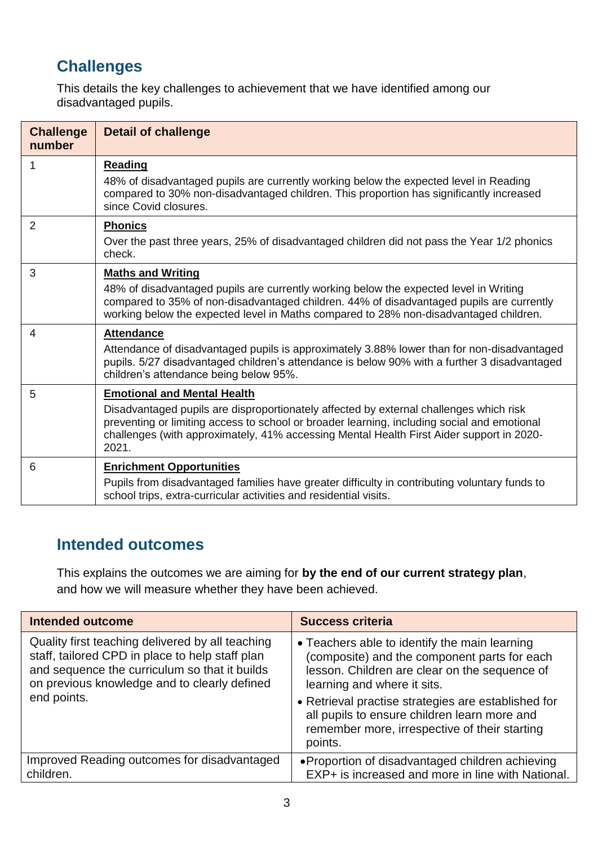# **Challenges**

This details the key challenges to achievement that we have identified among our disadvantaged pupils.

| <b>Challenge</b><br>number | <b>Detail of challenge</b>                                                                                                                                                                                                                                                                                                       |
|----------------------------|----------------------------------------------------------------------------------------------------------------------------------------------------------------------------------------------------------------------------------------------------------------------------------------------------------------------------------|
| 1                          | <b>Reading</b><br>48% of disadvantaged pupils are currently working below the expected level in Reading<br>compared to 30% non-disadvantaged children. This proportion has significantly increased<br>since Covid closures.                                                                                                      |
| $\overline{2}$             | <b>Phonics</b><br>Over the past three years, 25% of disadvantaged children did not pass the Year 1/2 phonics<br>check.                                                                                                                                                                                                           |
| 3                          | <b>Maths and Writing</b><br>48% of disadvantaged pupils are currently working below the expected level in Writing<br>compared to 35% of non-disadvantaged children. 44% of disadvantaged pupils are currently<br>working below the expected level in Maths compared to 28% non-disadvantaged children.                           |
| $\overline{4}$             | <b>Attendance</b><br>Attendance of disadvantaged pupils is approximately 3.88% lower than for non-disadvantaged<br>pupils. 5/27 disadvantaged children's attendance is below 90% with a further 3 disadvantaged<br>children's attendance being below 95%.                                                                        |
| 5                          | <b>Emotional and Mental Health</b><br>Disadvantaged pupils are disproportionately affected by external challenges which risk<br>preventing or limiting access to school or broader learning, including social and emotional<br>challenges (with approximately, 41% accessing Mental Health First Aider support in 2020-<br>2021. |
| 6                          | <b>Enrichment Opportunities</b><br>Pupils from disadvantaged families have greater difficulty in contributing voluntary funds to<br>school trips, extra-curricular activities and residential visits.                                                                                                                            |

#### **Intended outcomes**

This explains the outcomes we are aiming for **by the end of our current strategy plan**, and how we will measure whether they have been achieved.

| <b>Intended outcome</b>                                                                                                                                                                                             | <b>Success criteria</b>                                                                                                                                                                                                                                                              |
|---------------------------------------------------------------------------------------------------------------------------------------------------------------------------------------------------------------------|--------------------------------------------------------------------------------------------------------------------------------------------------------------------------------------------------------------------------------------------------------------------------------------|
| Quality first teaching delivered by all teaching<br>staff, tailored CPD in place to help staff plan<br>and sequence the curriculum so that it builds<br>on previous knowledge and to clearly defined<br>end points. | • Teachers able to identify the main learning<br>(composite) and the component parts for each<br>lesson. Children are clear on the sequence of<br>learning and where it sits.<br>• Retrieval practise strategies are established for<br>all pupils to ensure children learn more and |
|                                                                                                                                                                                                                     | remember more, irrespective of their starting<br>points.                                                                                                                                                                                                                             |
| Improved Reading outcomes for disadvantaged<br>children.                                                                                                                                                            | • Proportion of disadvantaged children achieving<br>EXP+ is increased and more in line with National.                                                                                                                                                                                |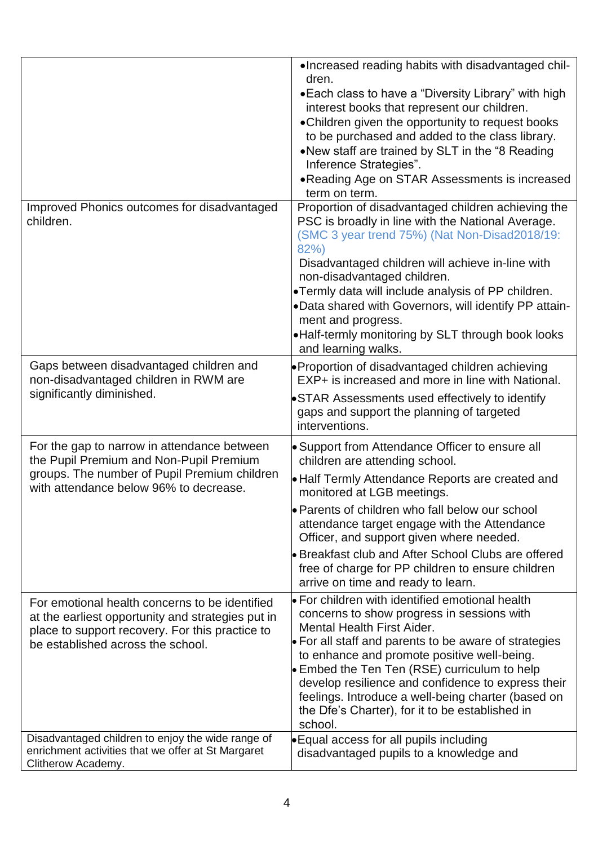|                                                                                                                                                                                             | . Increased reading habits with disadvantaged chil-<br>dren.<br>• Each class to have a "Diversity Library" with high<br>interest books that represent our children.<br>• Children given the opportunity to request books<br>to be purchased and added to the class library.<br>.New staff are trained by SLT in the "8 Reading<br>Inference Strategies".<br>. Reading Age on STAR Assessments is increased<br>term on term.                                                  |
|---------------------------------------------------------------------------------------------------------------------------------------------------------------------------------------------|------------------------------------------------------------------------------------------------------------------------------------------------------------------------------------------------------------------------------------------------------------------------------------------------------------------------------------------------------------------------------------------------------------------------------------------------------------------------------|
| Improved Phonics outcomes for disadvantaged<br>children.                                                                                                                                    | Proportion of disadvantaged children achieving the<br>PSC is broadly in line with the National Average.<br>(SMC 3 year trend 75%) (Nat Non-Disad2018/19:<br>82%)<br>Disadvantaged children will achieve in-line with<br>non-disadvantaged children.<br>•Termly data will include analysis of PP children.<br>.Data shared with Governors, will identify PP attain-<br>ment and progress.<br>. Half-termly monitoring by SLT through book looks<br>and learning walks.        |
| Gaps between disadvantaged children and<br>non-disadvantaged children in RWM are<br>significantly diminished.                                                                               | • Proportion of disadvantaged children achieving<br>EXP+ is increased and more in line with National.<br>•STAR Assessments used effectively to identify<br>gaps and support the planning of targeted<br>interventions.                                                                                                                                                                                                                                                       |
| For the gap to narrow in attendance between<br>the Pupil Premium and Non-Pupil Premium<br>groups. The number of Pupil Premium children<br>with attendance below 96% to decrease.            | • Support from Attendance Officer to ensure all<br>children are attending school.<br>• Half Termly Attendance Reports are created and<br>monitored at LGB meetings.<br>• Parents of children who fall below our school<br>attendance target engage with the Attendance<br>Officer, and support given where needed.<br>• Breakfast club and After School Clubs are offered<br>free of charge for PP children to ensure children<br>arrive on time and ready to learn.         |
| For emotional health concerns to be identified<br>at the earliest opportunity and strategies put in<br>place to support recovery. For this practice to<br>be established across the school. | $\bullet$ For children with identified emotional health<br>concerns to show progress in sessions with<br><b>Mental Health First Aider.</b><br>• For all staff and parents to be aware of strategies<br>to enhance and promote positive well-being.<br>• Embed the Ten Ten (RSE) curriculum to help<br>develop resilience and confidence to express their<br>feelings. Introduce a well-being charter (based on<br>the Dfe's Charter), for it to be established in<br>school. |
| Disadvantaged children to enjoy the wide range of<br>enrichment activities that we offer at St Margaret<br>Clitherow Academy.                                                               | • Equal access for all pupils including<br>disadvantaged pupils to a knowledge and                                                                                                                                                                                                                                                                                                                                                                                           |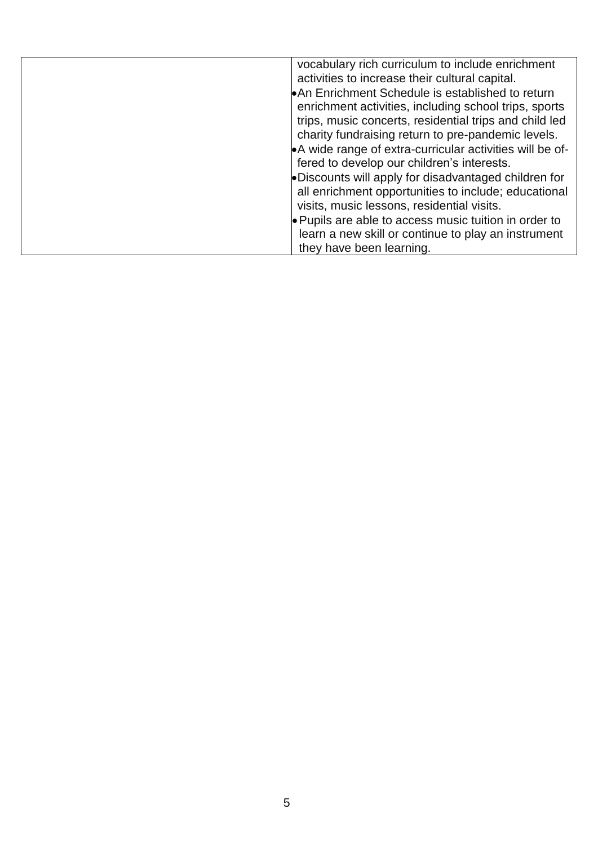| vocabulary rich curriculum to include enrichment<br>activities to increase their cultural capital.<br>An Enrichment Schedule is established to return<br>enrichment activities, including school trips, sports<br>trips, music concerts, residential trips and child led |
|--------------------------------------------------------------------------------------------------------------------------------------------------------------------------------------------------------------------------------------------------------------------------|
| charity fundraising return to pre-pandemic levels.<br>•A wide range of extra-curricular activities will be of-<br>fered to develop our children's interests.                                                                                                             |
| •Discounts will apply for disadvantaged children for<br>all enrichment opportunities to include; educational<br>visits, music lessons, residential visits.                                                                                                               |
| • Pupils are able to access music tuition in order to<br>learn a new skill or continue to play an instrument<br>they have been learning.                                                                                                                                 |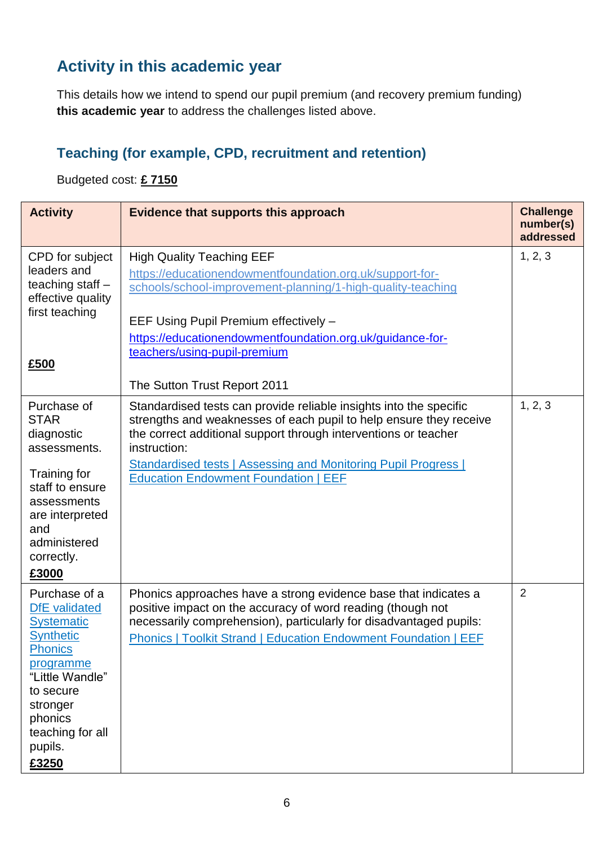# **Activity in this academic year**

This details how we intend to spend our pupil premium (and recovery premium funding) **this academic year** to address the challenges listed above.

#### **Teaching (for example, CPD, recruitment and retention)**

Budgeted cost: **£ 7150**

| <b>Activity</b>                                                                                                                                                                                              | Evidence that supports this approach                                                                                                                                                                                                                                                                                                                | <b>Challenge</b><br>number(s)<br>addressed |
|--------------------------------------------------------------------------------------------------------------------------------------------------------------------------------------------------------------|-----------------------------------------------------------------------------------------------------------------------------------------------------------------------------------------------------------------------------------------------------------------------------------------------------------------------------------------------------|--------------------------------------------|
| CPD for subject<br>leaders and<br>teaching staff -<br>effective quality<br>first teaching<br>£500                                                                                                            | <b>High Quality Teaching EEF</b><br>https://educationendowmentfoundation.org.uk/support-for-<br>schools/school-improvement-planning/1-high-quality-teaching<br>EEF Using Pupil Premium effectively -<br>https://educationendowmentfoundation.org.uk/guidance-for-<br>teachers/using-pupil-premium<br>The Sutton Trust Report 2011                   | 1, 2, 3                                    |
| Purchase of<br><b>STAR</b><br>diagnostic<br>assessments.<br>Training for<br>staff to ensure<br>assessments<br>are interpreted<br>and<br>administered<br>correctly.<br>£3000                                  | Standardised tests can provide reliable insights into the specific<br>strengths and weaknesses of each pupil to help ensure they receive<br>the correct additional support through interventions or teacher<br>instruction:<br><b>Standardised tests   Assessing and Monitoring Pupil Progress  </b><br><b>Education Endowment Foundation   EEF</b> | 1, 2, 3                                    |
| Purchase of a<br><b>DfE</b> validated<br><b>Systematic</b><br><b>Synthetic</b><br><b>Phonics</b><br>programme<br>"Little Wandle"<br>to secure<br>stronger<br>phonics<br>teaching for all<br>pupils.<br>£3250 | Phonics approaches have a strong evidence base that indicates a<br>positive impact on the accuracy of word reading (though not<br>necessarily comprehension), particularly for disadvantaged pupils:<br><b>Phonics   Toolkit Strand   Education Endowment Foundation   EEF</b>                                                                      | $\overline{2}$                             |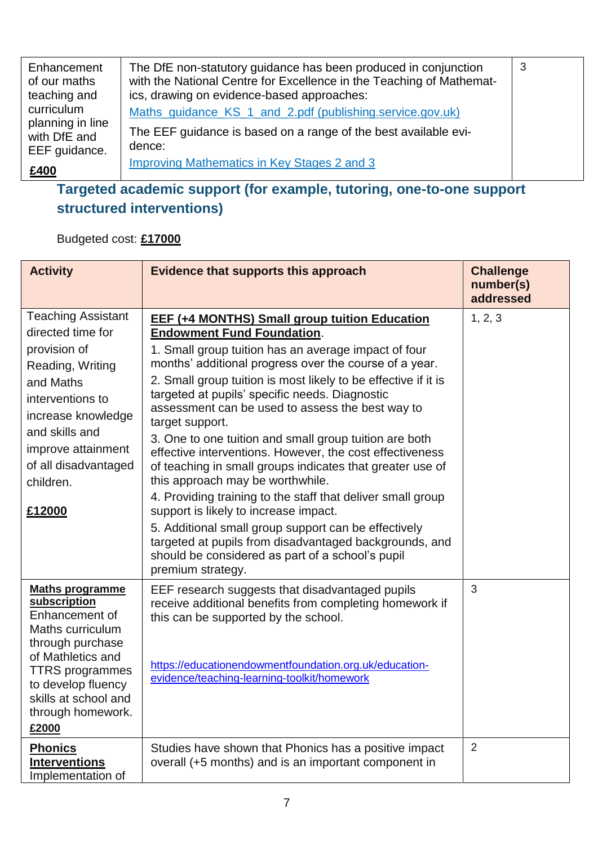| Enhancement<br>of our maths<br>teaching and | The DfE non-statutory guidance has been produced in conjunction<br>with the National Centre for Excellence in the Teaching of Mathemat-<br>ics, drawing on evidence-based approaches: | -3 |
|---------------------------------------------|---------------------------------------------------------------------------------------------------------------------------------------------------------------------------------------|----|
| curriculum<br>planning in line              | Maths_quidance_KS_1_and_2.pdf (publishing.service.gov.uk)                                                                                                                             |    |
| with DfE and<br>EEF guidance.               | The EEF guidance is based on a range of the best available evi-<br>dence:                                                                                                             |    |
| £400                                        | Improving Mathematics in Key Stages 2 and 3                                                                                                                                           |    |

## **Targeted academic support (for example, tutoring, one-to-one support structured interventions)**

#### Budgeted cost: **£17000**

| <b>Activity</b>                                                                                                                                                                                                                  | Evidence that supports this approach                                                                                                                                                                                                                                                                                                                                                                                                                                                                                                                                                                                                                                                                                                                                                                                                                                                                        | <b>Challenge</b><br>number(s)<br>addressed |
|----------------------------------------------------------------------------------------------------------------------------------------------------------------------------------------------------------------------------------|-------------------------------------------------------------------------------------------------------------------------------------------------------------------------------------------------------------------------------------------------------------------------------------------------------------------------------------------------------------------------------------------------------------------------------------------------------------------------------------------------------------------------------------------------------------------------------------------------------------------------------------------------------------------------------------------------------------------------------------------------------------------------------------------------------------------------------------------------------------------------------------------------------------|--------------------------------------------|
| <b>Teaching Assistant</b><br>directed time for<br>provision of<br>Reading, Writing<br>and Maths<br>interventions to<br>increase knowledge<br>and skills and<br>improve attainment<br>of all disadvantaged<br>children.<br>£12000 | <b>EEF (+4 MONTHS) Small group tuition Education</b><br><b>Endowment Fund Foundation.</b><br>1. Small group tuition has an average impact of four<br>months' additional progress over the course of a year.<br>2. Small group tuition is most likely to be effective if it is<br>targeted at pupils' specific needs. Diagnostic<br>assessment can be used to assess the best way to<br>target support.<br>3. One to one tuition and small group tuition are both<br>effective interventions. However, the cost effectiveness<br>of teaching in small groups indicates that greater use of<br>this approach may be worthwhile.<br>4. Providing training to the staff that deliver small group<br>support is likely to increase impact.<br>5. Additional small group support can be effectively<br>targeted at pupils from disadvantaged backgrounds, and<br>should be considered as part of a school's pupil | 1, 2, 3                                    |
| <b>Maths programme</b><br>subscription<br>Enhancement of<br>Maths curriculum<br>through purchase<br>of Mathletics and<br><b>TTRS</b> programmes<br>to develop fluency<br>skills at school and<br>through homework.<br>£2000      | premium strategy.<br>EEF research suggests that disadvantaged pupils<br>receive additional benefits from completing homework if<br>this can be supported by the school.<br>https://educationendowmentfoundation.org.uk/education-<br>evidence/teaching-learning-toolkit/homework                                                                                                                                                                                                                                                                                                                                                                                                                                                                                                                                                                                                                            | 3                                          |
| <b>Phonics</b><br><b>Interventions</b><br>Implementation of                                                                                                                                                                      | Studies have shown that Phonics has a positive impact<br>overall (+5 months) and is an important component in                                                                                                                                                                                                                                                                                                                                                                                                                                                                                                                                                                                                                                                                                                                                                                                               | $\overline{2}$                             |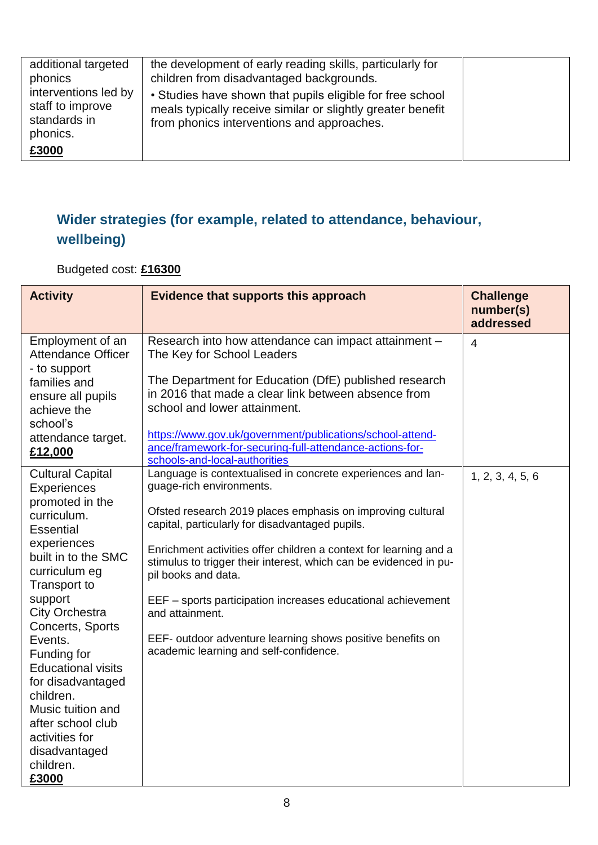| additional targeted<br>phonics                                       | the development of early reading skills, particularly for<br>children from disadvantaged backgrounds.                                                                  |  |
|----------------------------------------------------------------------|------------------------------------------------------------------------------------------------------------------------------------------------------------------------|--|
| interventions led by<br>staff to improve<br>standards in<br>phonics. | • Studies have shown that pupils eligible for free school<br>meals typically receive similar or slightly greater benefit<br>from phonics interventions and approaches. |  |
| £3000                                                                |                                                                                                                                                                        |  |

## **Wider strategies (for example, related to attendance, behaviour, wellbeing)**

Budgeted cost: **£16300**

| <b>Activity</b>                                                                                                                                                                                                                                                                                                                                                                                                                       | <b>Evidence that supports this approach</b>                                                                                                                                                                                                                                                                                                                                                                                                                                                                                                                          | <b>Challenge</b><br>number(s)<br>addressed |
|---------------------------------------------------------------------------------------------------------------------------------------------------------------------------------------------------------------------------------------------------------------------------------------------------------------------------------------------------------------------------------------------------------------------------------------|----------------------------------------------------------------------------------------------------------------------------------------------------------------------------------------------------------------------------------------------------------------------------------------------------------------------------------------------------------------------------------------------------------------------------------------------------------------------------------------------------------------------------------------------------------------------|--------------------------------------------|
| Employment of an<br><b>Attendance Officer</b><br>- to support<br>families and<br>ensure all pupils<br>achieve the<br>school's<br>attendance target.<br>£12,000                                                                                                                                                                                                                                                                        | Research into how attendance can impact attainment -<br>The Key for School Leaders<br>The Department for Education (DfE) published research<br>in 2016 that made a clear link between absence from<br>school and lower attainment.<br>https://www.gov.uk/government/publications/school-attend-<br>ance/framework-for-securing-full-attendance-actions-for-<br>schools-and-local-authorities                                                                                                                                                                         | $\overline{4}$                             |
| <b>Cultural Capital</b><br><b>Experiences</b><br>promoted in the<br>curriculum.<br><b>Essential</b><br>experiences<br>built in to the SMC<br>curriculum eg<br><b>Transport to</b><br>support<br><b>City Orchestra</b><br>Concerts, Sports<br>Events.<br>Funding for<br><b>Educational visits</b><br>for disadvantaged<br>children.<br>Music tuition and<br>after school club<br>activities for<br>disadvantaged<br>children.<br>£3000 | Language is contextualised in concrete experiences and lan-<br>guage-rich environments.<br>Ofsted research 2019 places emphasis on improving cultural<br>capital, particularly for disadvantaged pupils.<br>Enrichment activities offer children a context for learning and a<br>stimulus to trigger their interest, which can be evidenced in pu-<br>pil books and data.<br>EEF - sports participation increases educational achievement<br>and attainment.<br>EEF- outdoor adventure learning shows positive benefits on<br>academic learning and self-confidence. | 1, 2, 3, 4, 5, 6                           |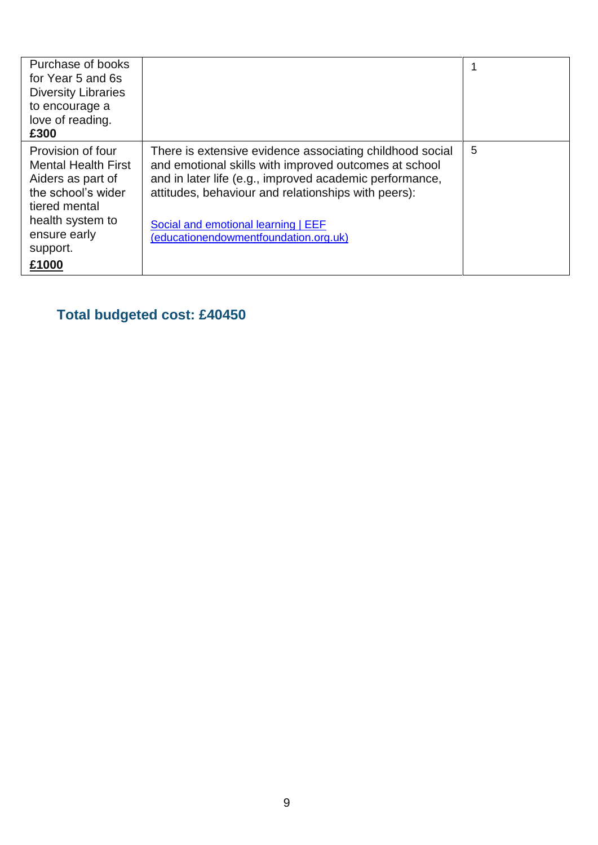| Purchase of books<br>for Year 5 and 6s<br><b>Diversity Libraries</b><br>to encourage a<br>love of reading.<br>£300                                                   |                                                                                                                                                                                                                                                                                                                     |   |
|----------------------------------------------------------------------------------------------------------------------------------------------------------------------|---------------------------------------------------------------------------------------------------------------------------------------------------------------------------------------------------------------------------------------------------------------------------------------------------------------------|---|
| Provision of four<br><b>Mental Health First</b><br>Aiders as part of<br>the school's wider<br>tiered mental<br>health system to<br>ensure early<br>support.<br>£1000 | There is extensive evidence associating childhood social<br>and emotional skills with improved outcomes at school<br>and in later life (e.g., improved academic performance,<br>attitudes, behaviour and relationships with peers):<br>Social and emotional learning   EEF<br>(educationendowmentfoundation.org.uk) | 5 |

**Total budgeted cost: £40450**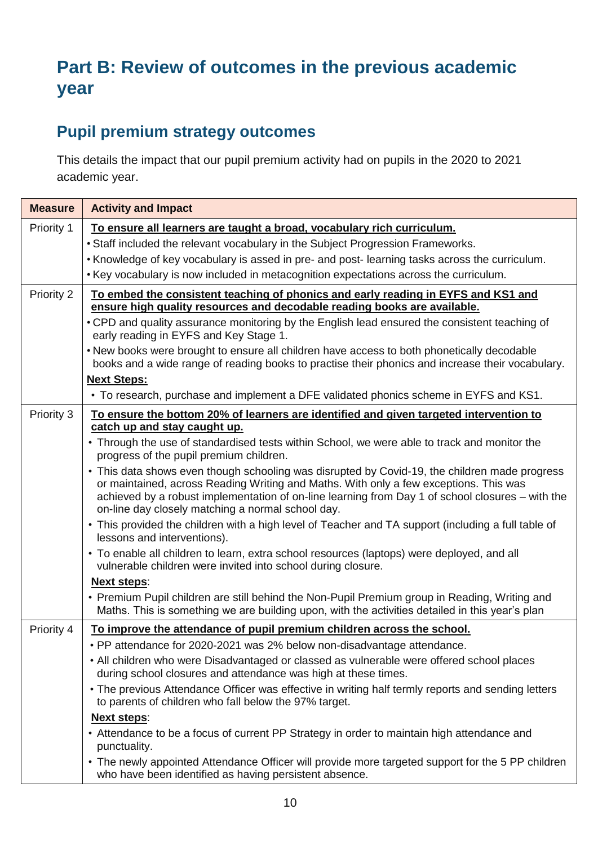# **Part B: Review of outcomes in the previous academic year**

## **Pupil premium strategy outcomes**

This details the impact that our pupil premium activity had on pupils in the 2020 to 2021 academic year.

| <b>Measure</b> | <b>Activity and Impact</b>                                                                                                                                                                                                                                                                                                                      |
|----------------|-------------------------------------------------------------------------------------------------------------------------------------------------------------------------------------------------------------------------------------------------------------------------------------------------------------------------------------------------|
| Priority 1     | To ensure all learners are taught a broad, vocabulary rich curriculum.                                                                                                                                                                                                                                                                          |
|                | • Staff included the relevant vocabulary in the Subject Progression Frameworks.                                                                                                                                                                                                                                                                 |
|                | . Knowledge of key vocabulary is assed in pre- and post- learning tasks across the curriculum.                                                                                                                                                                                                                                                  |
|                | . Key vocabulary is now included in metacognition expectations across the curriculum.                                                                                                                                                                                                                                                           |
| Priority 2     | To embed the consistent teaching of phonics and early reading in EYFS and KS1 and<br>ensure high quality resources and decodable reading books are available.                                                                                                                                                                                   |
|                | • CPD and quality assurance monitoring by the English lead ensured the consistent teaching of<br>early reading in EYFS and Key Stage 1.                                                                                                                                                                                                         |
|                | • New books were brought to ensure all children have access to both phonetically decodable<br>books and a wide range of reading books to practise their phonics and increase their vocabulary.                                                                                                                                                  |
|                | <b>Next Steps:</b>                                                                                                                                                                                                                                                                                                                              |
|                | • To research, purchase and implement a DFE validated phonics scheme in EYFS and KS1.                                                                                                                                                                                                                                                           |
| Priority 3     | To ensure the bottom 20% of learners are identified and given targeted intervention to                                                                                                                                                                                                                                                          |
|                | catch up and stay caught up.                                                                                                                                                                                                                                                                                                                    |
|                | • Through the use of standardised tests within School, we were able to track and monitor the<br>progress of the pupil premium children.                                                                                                                                                                                                         |
|                | • This data shows even though schooling was disrupted by Covid-19, the children made progress<br>or maintained, across Reading Writing and Maths. With only a few exceptions. This was<br>achieved by a robust implementation of on-line learning from Day 1 of school closures – with the<br>on-line day closely matching a normal school day. |
|                | • This provided the children with a high level of Teacher and TA support (including a full table of<br>lessons and interventions).                                                                                                                                                                                                              |
|                | • To enable all children to learn, extra school resources (laptops) were deployed, and all<br>vulnerable children were invited into school during closure.                                                                                                                                                                                      |
|                | <b>Next steps:</b>                                                                                                                                                                                                                                                                                                                              |
|                | • Premium Pupil children are still behind the Non-Pupil Premium group in Reading, Writing and<br>Maths. This is something we are building upon, with the activities detailed in this year's plan                                                                                                                                                |
| Priority 4     | To improve the attendance of pupil premium children across the school.                                                                                                                                                                                                                                                                          |
|                | • PP attendance for 2020-2021 was 2% below non-disadvantage attendance.                                                                                                                                                                                                                                                                         |
|                | • All children who were Disadvantaged or classed as vulnerable were offered school places<br>during school closures and attendance was high at these times.                                                                                                                                                                                     |
|                | • The previous Attendance Officer was effective in writing half termly reports and sending letters<br>to parents of children who fall below the 97% target.                                                                                                                                                                                     |
|                | <b>Next steps:</b>                                                                                                                                                                                                                                                                                                                              |
|                | • Attendance to be a focus of current PP Strategy in order to maintain high attendance and<br>punctuality.                                                                                                                                                                                                                                      |
|                | • The newly appointed Attendance Officer will provide more targeted support for the 5 PP children<br>who have been identified as having persistent absence.                                                                                                                                                                                     |